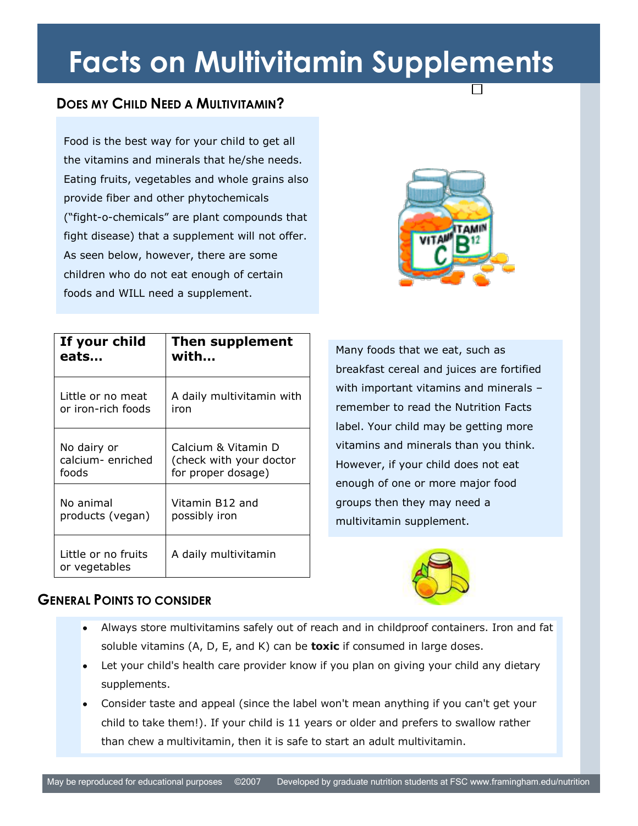# **Facts on Multivitamin Supplements**

### **DOES MY CHILD NEED A MULTIVITAMIN?**

As seen below, however, there are some children who do not eat enough of certain Food is the best way for your child to get all the vitamins and minerals that he/she needs. Eating fruits, vegetables and whole grains also provide fiber and other phytochemicals ("fight-o-chemicals" are plant compounds that fight disease) that a supplement will not offer. foods and WILL need a supplement.



| If your child                        | Then supplement           |
|--------------------------------------|---------------------------|
| eats                                 | with                      |
| Little or no meat                    | A daily multivitamin with |
| or iron-rich foods                   | iron                      |
| No dairy or                          | Calcium & Vitamin D       |
| calcium-enriched                     | (check with your doctor   |
| foods                                | for proper dosage)        |
| No animal                            | Vitamin B12 and           |
| products (vegan)                     | possibly iron             |
| Little or no fruits<br>or vegetables | A daily multivitamin      |

Many foods that we eat, such as breakfast cereal and juices are fortified with important vitamins and minerals – remember to read the Nutrition Facts label. Your child may be getting more vitamins and minerals than you think. However, if your child does not eat enough of one or more major food groups then they may need a multivitamin supplement.



#### **GENERAL POINTS TO CONSIDER**

- Always store multivitamins safely out of reach and in childproof containers. Iron and fat soluble vitamins (A, D, E, and K) can be **toxic** if consumed in large doses.
- Let your child's health care provider know if you plan on giving your child any dietary supplements.
- Consider taste and appeal (since the label won't mean anything if you can't get your child to take them!). If your child is 11 years or older and prefers to swallow rather than chew a multivitamin, then it is safe to start an adult multivitamin.